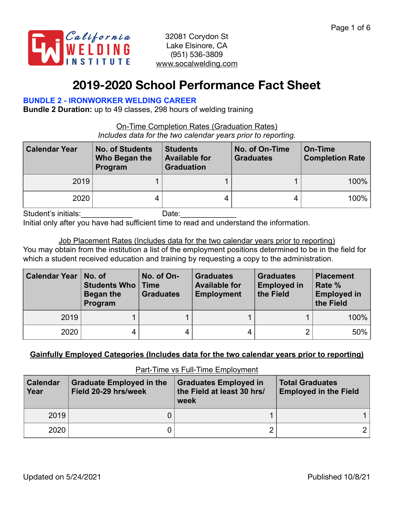

# **2019-2020 School Performance Fact Sheet**

#### **BUNDLE 2 - IRONWORKER WELDING CAREER**

**Bundle 2 Duration:** up to 49 classes, 298 hours of welding training

On-Time Completion Rates (Graduation Rates) *Includes data for the two calendar years prior to reporting.*

| <b>Calendar Year</b> | <b>No. of Students</b><br>Who Began the<br>Program | <b>Students</b><br><b>Available for</b><br><b>Graduation</b> | No. of On-Time<br><b>Graduates</b> | On-Time<br><b>Completion Rate</b> |
|----------------------|----------------------------------------------------|--------------------------------------------------------------|------------------------------------|-----------------------------------|
| 2019                 |                                                    |                                                              |                                    | $100\%$                           |
| 2020                 |                                                    |                                                              |                                    | $100\%$                           |

Student's initials: example and Date:

Initial only after you have had sufficient time to read and understand the information.

Job Placement Rates (Includes data for the two calendar years prior to reporting) You may obtain from the institution a list of the employment positions determined to be in the field for which a student received education and training by requesting a copy to the administration.

| <b>Calendar Year</b> | No. of<br>Students Who<br>Began the<br>Program | No. of On-<br>Time<br><b>Graduates</b> | <b>Graduates</b><br><b>Available for</b><br><b>Employment</b> | <b>Graduates</b><br><b>Employed in</b><br>the Field | <b>Placement</b><br>Rate %<br><b>Employed in</b><br>the Field |  |
|----------------------|------------------------------------------------|----------------------------------------|---------------------------------------------------------------|-----------------------------------------------------|---------------------------------------------------------------|--|
| 2019                 |                                                |                                        |                                                               |                                                     | 100%                                                          |  |
| 2020                 |                                                |                                        |                                                               |                                                     | 50%                                                           |  |

## **Gainfully Employed Categories (Includes data for the two calendar years prior to reporting)**

| <b>Calendar</b><br>Year | <b>Graduate Employed in the</b><br><b>Graduates Employed in</b><br>the Field at least 30 hrs/<br>Field 20-29 hrs/week<br>week |  | <b>Total Graduates</b><br><b>Employed in the Field</b> |  |  |
|-------------------------|-------------------------------------------------------------------------------------------------------------------------------|--|--------------------------------------------------------|--|--|
| 2019                    |                                                                                                                               |  |                                                        |  |  |
| 2020                    |                                                                                                                               |  |                                                        |  |  |

Part-Time vs Full-Time Employment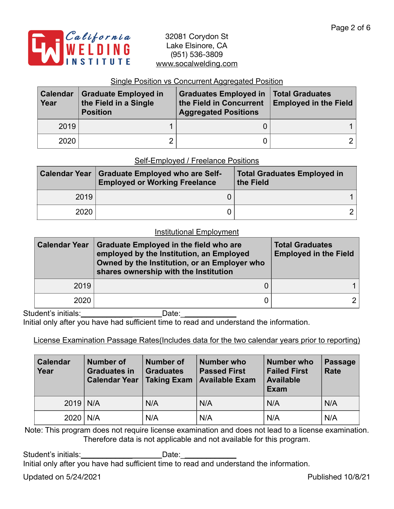

#### Single Position vs Concurrent Aggregated Position

| <b>Calendar</b><br>Year | <b>Graduate Employed in</b><br>the Field in a Single<br><b>Position</b> | <b>Graduates Employed in</b><br>the Field in Concurrent<br><b>Aggregated Positions</b> | Total Graduates<br><b>Employed in the Field</b> |  |
|-------------------------|-------------------------------------------------------------------------|----------------------------------------------------------------------------------------|-------------------------------------------------|--|
| 2019                    |                                                                         |                                                                                        |                                                 |  |
| 2020                    |                                                                         |                                                                                        | $\mathcal{D}$ .                                 |  |

#### Self-Employed / Freelance Positions

| <b>Calendar Year</b> | <b>Graduate Employed who are Self-</b><br><b>Employed or Working Freelance</b> | <b>Total Graduates Employed in</b><br>the Field |  |  |  |
|----------------------|--------------------------------------------------------------------------------|-------------------------------------------------|--|--|--|
| 2019                 |                                                                                |                                                 |  |  |  |
| 2020                 |                                                                                |                                                 |  |  |  |

## Institutional Employment

| <b>Calendar Year</b> | <b>Graduate Employed in the field who are</b><br>employed by the Institution, an Employed<br>Owned by the Institution, or an Employer who<br>shares ownership with the Institution | <b>Total Graduates</b><br><b>Employed in the Field</b> |  |  |
|----------------------|------------------------------------------------------------------------------------------------------------------------------------------------------------------------------------|--------------------------------------------------------|--|--|
| 2019                 |                                                                                                                                                                                    |                                                        |  |  |
| 2020                 |                                                                                                                                                                                    |                                                        |  |  |

Student's initials:\_\_\_\_\_\_\_\_\_\_\_\_\_\_\_\_\_\_\_\_\_\_\_\_\_\_Date: \_\_

Initial only after you have had sufficient time to read and understand the information.

License Examination Passage Rates(Includes data for the two calendar years prior to reporting)

| <b>Calendar</b><br>Year | <b>Number of</b><br><b>Graduates in</b><br><b>Calendar Year</b> | <b>Number of</b><br><b>Graduates</b><br>Taking Exam | Number who<br><b>Passed First</b><br><b>Available Exam</b> | <b>Number who</b><br><b>Failed First</b><br><b>Available</b><br><b>Exam</b> | <b>Passage</b><br><b>Rate</b> |
|-------------------------|-----------------------------------------------------------------|-----------------------------------------------------|------------------------------------------------------------|-----------------------------------------------------------------------------|-------------------------------|
| $2019$ N/A              |                                                                 | N/A                                                 | N/A                                                        | N/A                                                                         | N/A                           |
| $2020$   N/A            |                                                                 | N/A                                                 | N/A                                                        | N/A                                                                         | N/A                           |

Note: This program does not require license examination and does not lead to a license examination. Therefore data is not applicable and not available for this program.

Student's initials:\_\_\_\_\_\_\_\_\_\_\_\_\_\_\_\_\_\_\_\_\_\_\_\_Date:\_\_ Initial only after you have had sufficient time to read and understand the information.

Updated on 5/24/2021 and the Updated on 5/24/2021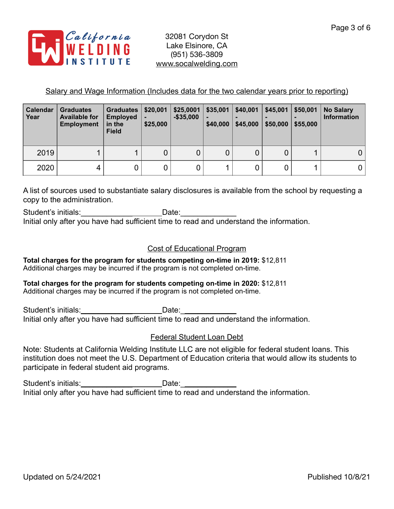

## Salary and Wage Information (Includes data for the two calendar years prior to reporting)

| <b>Calendar</b><br>Year | <b>Graduates</b><br><b>Available for</b><br><b>Employment</b> | <b>Graduates</b><br><b>Employed</b><br>in the<br><b>Field</b> | \$20,001<br>\$25,000 | \$25,0001<br>$-$ \$35,000 | \$35,001<br>$\blacksquare$<br>\$40,000 | \$40,001<br>\$45,000 | \$45,001<br>\$50,000 | \$50,001<br>\$55,000 | <b>No Salary</b><br><b>Information</b> |
|-------------------------|---------------------------------------------------------------|---------------------------------------------------------------|----------------------|---------------------------|----------------------------------------|----------------------|----------------------|----------------------|----------------------------------------|
| 2019                    |                                                               |                                                               | 0                    | 0                         | 0                                      | 0                    | $\mathbf 0$          |                      |                                        |
| 2020                    | 4                                                             |                                                               | 0                    | 0                         |                                        |                      |                      |                      |                                        |

A list of sources used to substantiate salary disclosures is available from the school by requesting a copy to the administration.

Student's initials: example and the Date: Initial only after you have had sufficient time to read and understand the information.

### Cost of Educational Program

**Total charges for the program for students competing on-time in 2019:** \$12,811 Additional charges may be incurred if the program is not completed on-time.

## **Total charges for the program for students competing on-time in 2020:** \$12,811

Additional charges may be incurred if the program is not completed on-time.

Student's initials: example and Date: Initial only after you have had sufficient time to read and understand the information.

## Federal Student Loan Debt

Note: Students at California Welding Institute LLC are not eligible for federal student loans. This institution does not meet the U.S. Department of Education criteria that would allow its students to participate in federal student aid programs.

Student's initials: \_\_\_\_\_\_\_\_\_\_\_\_\_\_\_\_\_\_\_\_\_\_\_\_\_\_\_Date: \_\_\_\_\_\_\_\_\_\_\_\_\_\_\_\_\_\_\_\_\_\_\_\_\_\_\_ Initial only after you have had sufficient time to read and understand the information.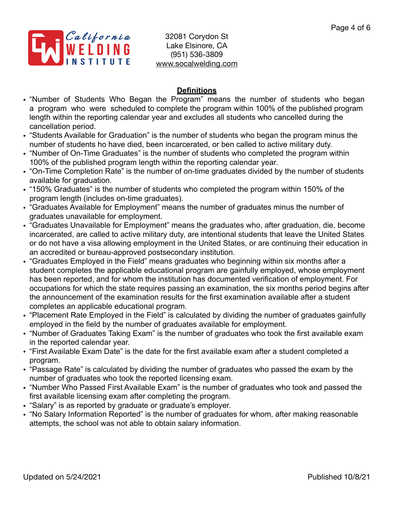

## **Definitions**

- "Number of Students Who Began the Program" means the number of students who began a program who were scheduled to complete the program within 100% of the published program length within the reporting calendar year and excludes all students who cancelled during the cancellation period.
- "Students Available for Graduation" is the number of students who began the program minus the number of students ho have died, been incarcerated, or ben called to active military duty.
- "Number of On-Time Graduates" is the number of students who completed the program within 100% of the published program length within the reporting calendar year.
- "On-Time Completion Rate" is the number of on-time graduates divided by the number of students available for graduation.
- "150% Graduates" is the number of students who completed the program within 150% of the program length (includes on-time graduates).
- "Graduates Available for Employment" means the number of graduates minus the number of graduates unavailable for employment.
- "Graduates Unavailable for Employment" means the graduates who, after graduation, die, become incarcerated, are called to active military duty, are intentional students that leave the United States or do not have a visa allowing employment in the United States, or are continuing their education in an accredited or bureau-approved postsecondary institution.
- "Graduates Employed in the Field" means graduates who beginning within six months after a student completes the applicable educational program are gainfully employed, whose employment has been reported, and for whom the institution has documented verification of employment. For occupations for which the state requires passing an examination, the six months period begins after the announcement of the examination results for the first examination available after a student completes an applicable educational program.
- "Placement Rate Employed in the Field" is calculated by dividing the number of graduates gainfully employed in the field by the number of graduates available for employment.
- "Number of Graduates Taking Exam" is the number of graduates who took the first available exam in the reported calendar year.
- "First Available Exam Date" is the date for the first available exam after a student completed a program.
- "Passage Rate" is calculated by dividing the number of graduates who passed the exam by the number of graduates who took the reported licensing exam.
- "Number Who Passed First Available Exam" is the number of graduates who took and passed the first available licensing exam after completing the program.
- "Salary" is as reported by graduate or graduate's employer.
- "No Salary Information Reported" is the number of graduates for whom, after making reasonable attempts, the school was not able to obtain salary information.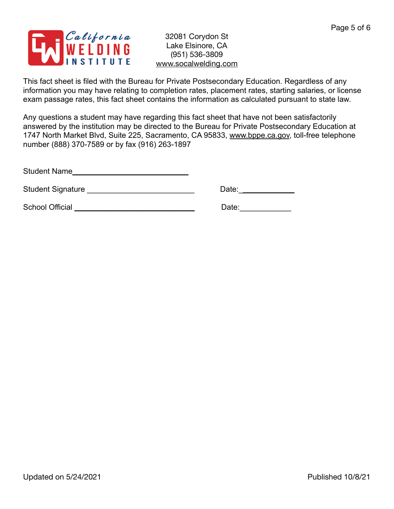

This fact sheet is filed with the Bureau for Private Postsecondary Education. Regardless of any information you may have relating to completion rates, placement rates, starting salaries, or license exam passage rates, this fact sheet contains the information as calculated pursuant to state law.

Any questions a student may have regarding this fact sheet that have not been satisfactorily answered by the institution may be directed to the Bureau for Private Postsecondary Education at 1747 North Market Blvd, Suite 225, Sacramento, CA 95833, [www.bppe.ca.gov](http://www.bppe.ca.gov), toll-free telephone number (888) 370-7589 or by fax (916) 263-1897

Student Name\_\_\_\_\_\_\_\_\_\_\_\_\_\_\_\_\_\_\_\_\_\_\_\_\_\_\_

Student Signature \_\_\_\_\_\_\_\_\_\_\_\_\_\_\_\_\_\_\_\_\_\_\_\_\_ Date:\_\_\_\_\_\_\_\_\_\_\_\_\_

School Official \_\_\_\_\_\_\_\_\_\_\_\_\_\_\_\_\_\_\_\_\_\_\_\_\_\_\_\_ Date:\_\_\_\_\_\_\_\_\_\_\_\_